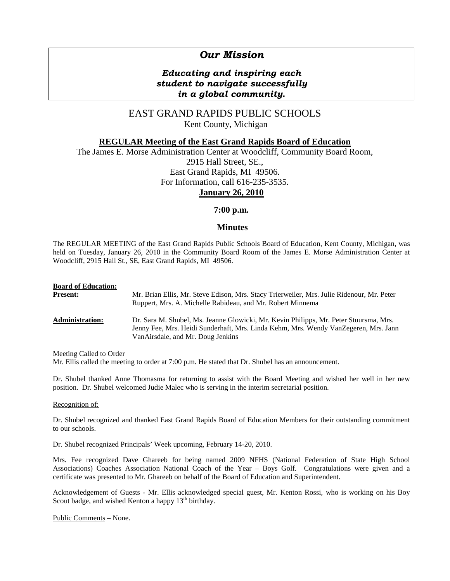# *Our Mission*

## *Educating and inspiring each student to navigate successfully in a global community.*

## EAST GRAND RAPIDS PUBLIC SCHOOLS Kent County, Michigan

### **REGULAR Meeting of the East Grand Rapids Board of Education**

The James E. Morse Administration Center at Woodcliff, Community Board Room, 2915 Hall Street, SE., East Grand Rapids, MI 49506. For Information, call 616-235-3535. **January 26, 2010**

## **7:00 p.m.**

### **Minutes**

The REGULAR MEETING of the East Grand Rapids Public Schools Board of Education, Kent County, Michigan, was held on Tuesday, January 26, 2010 in the Community Board Room of the James E. Morse Administration Center at Woodcliff, 2915 Hall St., SE, East Grand Rapids, MI 49506.

| <b>Board of Education:</b> | Mr. Brian Ellis, Mr. Steve Edison, Mrs. Stacy Trierweiler, Mrs. Julie Ridenour, Mr. Peter                                                                                                                         |
|----------------------------|-------------------------------------------------------------------------------------------------------------------------------------------------------------------------------------------------------------------|
| <b>Present:</b>            | Ruppert, Mrs. A. Michelle Rabideau, and Mr. Robert Minnema                                                                                                                                                        |
| <b>Administration:</b>     | Dr. Sara M. Shubel, Ms. Jeanne Glowicki, Mr. Kevin Philipps, Mr. Peter Stuursma, Mrs.<br>Jenny Fee, Mrs. Heidi Sunderhaft, Mrs. Linda Kehm, Mrs. Wendy VanZegeren, Mrs. Jann<br>VanAirsdale, and Mr. Doug Jenkins |

Meeting Called to Order

Mr. Ellis called the meeting to order at 7:00 p.m. He stated that Dr. Shubel has an announcement.

Dr. Shubel thanked Anne Thomasma for returning to assist with the Board Meeting and wished her well in her new position. Dr. Shubel welcomed Judie Malec who is serving in the interim secretarial position.

#### Recognition of:

Dr. Shubel recognized and thanked East Grand Rapids Board of Education Members for their outstanding commitment to our schools.

Dr. Shubel recognized Principals' Week upcoming, February 14-20, 2010.

Mrs. Fee recognized Dave Ghareeb for being named 2009 NFHS (National Federation of State High School Associations) Coaches Association National Coach of the Year – Boys Golf. Congratulations were given and a certificate was presented to Mr. Ghareeb on behalf of the Board of Education and Superintendent.

Acknowledgement of Guests - Mr. Ellis acknowledged special guest, Mr. Kenton Rossi, who is working on his Boy Scout badge, and wished Kenton a happy  $13<sup>th</sup>$  birthday.

Public Comments – None.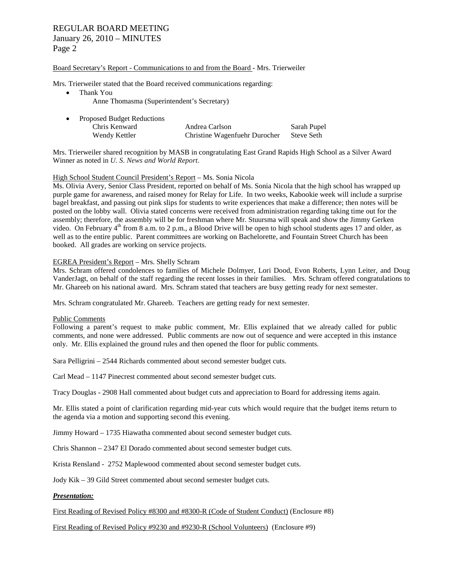#### Board Secretary's Report - Communications to and from the Board - Mrs. Trierweiler

Mrs. Trierweiler stated that the Board received communications regarding:

- Thank You
	- Anne Thomasma (Superintendent's Secretary)

| <b>Proposed Budget Reductions</b> |                               |             |  |  |
|-----------------------------------|-------------------------------|-------------|--|--|
| Chris Kenward                     | Andrea Carlson                | Sarah Pupel |  |  |
| Wendy Kettler                     | Christine Wagenfuehr Durocher | Steve Seth  |  |  |

Mrs. Trierweiler shared recognition by MASB in congratulating East Grand Rapids High School as a Silver Award Winner as noted in *U. S*. *News and World Report*.

#### High School Student Council President's Report – Ms. Sonia Nicola

Ms. Olivia Avery, Senior Class President, reported on behalf of Ms. Sonia Nicola that the high school has wrapped up purple game for awareness, and raised money for Relay for Life. In two weeks, Kabookie week will include a surprise bagel breakfast, and passing out pink slips for students to write experiences that make a difference; then notes will be posted on the lobby wall. Olivia stated concerns were received from administration regarding taking time out for the assembly; therefore, the assembly will be for freshman where Mr. Stuursma will speak and show the Jimmy Gerken video. On February  $4<sup>th</sup>$  from 8 a.m. to 2 p.m., a Blood Drive will be open to high school students ages 17 and older, as well as to the entire public. Parent committees are working on Bachelorette, and Fountain Street Church has been booked. All grades are working on service projects.

#### EGREA President's Report – Mrs. Shelly Schram

Mrs. Schram offered condolences to families of Michele Dolmyer, Lori Dood, Evon Roberts, Lynn Leiter, and Doug VanderJagt, on behalf of the staff regarding the recent losses in their families. Mrs. Schram offered congratulations to Mr. Ghareeb on his national award. Mrs. Schram stated that teachers are busy getting ready for next semester.

Mrs. Schram congratulated Mr. Ghareeb. Teachers are getting ready for next semester.

#### Public Comments

Following a parent's request to make public comment, Mr. Ellis explained that we already called for public comments, and none were addressed. Public comments are now out of sequence and were accepted in this instance only. Mr. Ellis explained the ground rules and then opened the floor for public comments.

Sara Pelligrini – 2544 Richards commented about second semester budget cuts.

Carl Mead – 1147 Pinecrest commented about second semester budget cuts.

Tracy Douglas - 2908 Hall commented about budget cuts and appreciation to Board for addressing items again.

Mr. Ellis stated a point of clarification regarding mid-year cuts which would require that the budget items return to the agenda via a motion and supporting second this evening.

Jimmy Howard – 1735 Hiawatha commented about second semester budget cuts.

Chris Shannon – 2347 El Dorado commented about second semester budget cuts.

Krista Rensland - 2752 Maplewood commented about second semester budget cuts.

Jody Kik – 39 Gild Street commented about second semester budget cuts.

#### *Presentation:*

First Reading of Revised Policy #8300 and #8300-R (Code of Student Conduct) (Enclosure #8)

First Reading of Revised Policy #9230 and #9230-R (School Volunteers) (Enclosure #9)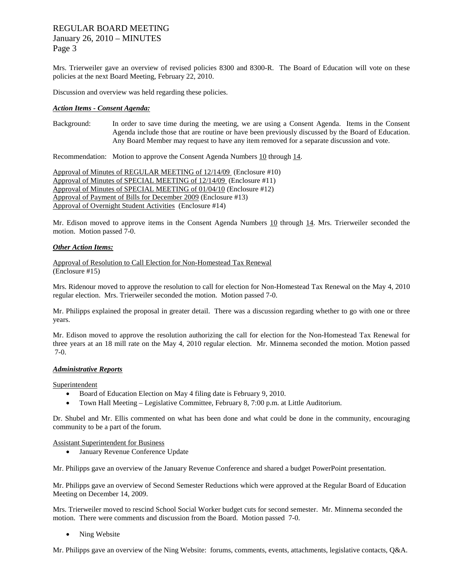## REGULAR BOARD MEETING January 26, 2010 – MINUTES Page 3

Mrs. Trierweiler gave an overview of revised policies 8300 and 8300-R. The Board of Education will vote on these policies at the next Board Meeting, February 22, 2010.

Discussion and overview was held regarding these policies.

#### *Action Items - Consent Agenda:*

Background: In order to save time during the meeting, we are using a Consent Agenda. Items in the Consent Agenda include those that are routine or have been previously discussed by the Board of Education. Any Board Member may request to have any item removed for a separate discussion and vote.

Recommendation: Motion to approve the Consent Agenda Numbers 10 through 14.

Approval of Minutes of REGULAR MEETING of 12/14/09 (Enclosure #10) Approval of Minutes of SPECIAL MEETING of 12/14/09 (Enclosure #11) Approval of Minutes of SPECIAL MEETING of 01/04/10 (Enclosure #12) Approval of Payment of Bills for December 2009 (Enclosure #13) Approval of Overnight Student Activities (Enclosure #14)

Mr. Edison moved to approve items in the Consent Agenda Numbers 10 through 14. Mrs. Trierweiler seconded the motion. Motion passed 7-0.

#### *Other Action Items:*

Approval of Resolution to Call Election for Non-Homestead Tax Renewal (Enclosure #15)

Mrs. Ridenour moved to approve the resolution to call for election for Non-Homestead Tax Renewal on the May 4, 2010 regular election. Mrs. Trierweiler seconded the motion. Motion passed 7-0.

Mr. Philipps explained the proposal in greater detail. There was a discussion regarding whether to go with one or three years.

Mr. Edison moved to approve the resolution authorizing the call for election for the Non-Homestead Tax Renewal for three years at an 18 mill rate on the May 4, 2010 regular election. Mr. Minnema seconded the motion. Motion passed 7-0.

#### *Administrative Reports*

Superintendent

- Board of Education Election on May 4 filing date is February 9, 2010.
- Town Hall Meeting Legislative Committee, February 8, 7:00 p.m. at Little Auditorium.

Dr. Shubel and Mr. Ellis commented on what has been done and what could be done in the community, encouraging community to be a part of the forum.

Assistant Superintendent for Business

• January Revenue Conference Update

Mr. Philipps gave an overview of the January Revenue Conference and shared a budget PowerPoint presentation.

Mr. Philipps gave an overview of Second Semester Reductions which were approved at the Regular Board of Education Meeting on December 14, 2009.

Mrs. Trierweiler moved to rescind School Social Worker budget cuts for second semester. Mr. Minnema seconded the motion. There were comments and discussion from the Board. Motion passed 7-0.

• Ning Website

Mr. Philipps gave an overview of the Ning Website: forums, comments, events, attachments, legislative contacts, Q&A.